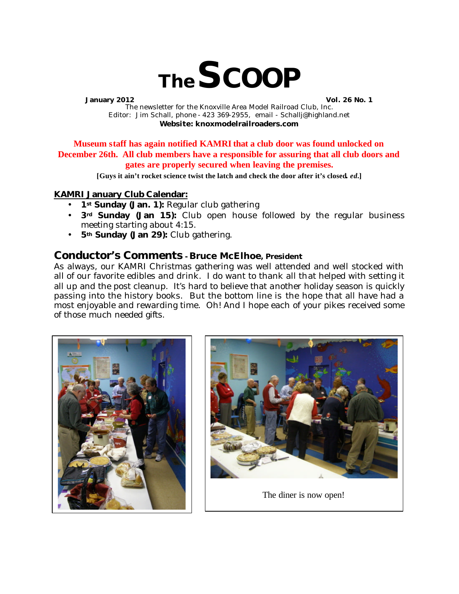

**January 2012 Vol. 26 No. 1** The newsletter for the Knoxville Area Model Railroad Club, Inc. Editor: Jim Schall, phone - 423 369-2955, email - Schallj@highland.net **Website: knoxmodelrailroaders.com**

**Museum staff has again notified KAMRI that a club door was found unlocked on December 26th. All club members have a responsible for assuring that all club doors and gates are properly secured when leaving the premises.**

**[Guys it ain't rocket science twist the latch and check the door after it's closed.** *ed.***]**

#### **KAMRI January Club Calendar:**

- 1<sup>st</sup> Sunday (Jan. 1): Regular club gathering
- **3rd Sunday (Jan 15):** Club open house followed by the regular business meeting starting about 4:15.
- **5th Sunday (Jan 29):** Club gathering.

### **Conductor's Comments - Bruce McElhoe, President**

As always, our KAMRI Christmas gathering was well attended and well stocked with all of our favorite edibles and drink. I do want to thank all that helped with setting it all up and the post cleanup. It's hard to believe that another holiday season is quickly passing into the history books. But the bottom line is the hope that all have had a most enjoyable and rewarding time. Oh! And I hope each of your pikes received some of those much needed gifts.





The diner is now open!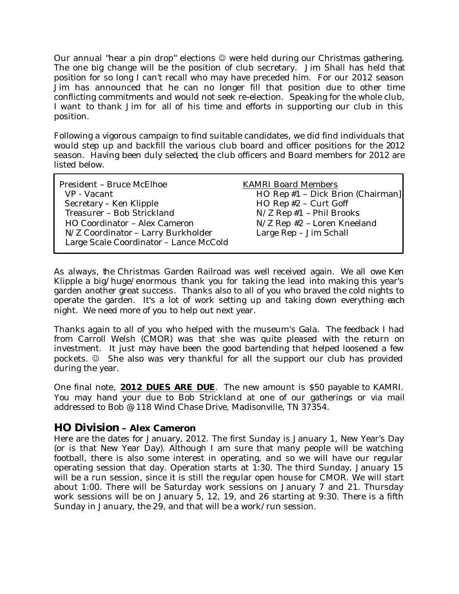Our annual "hear a pin drop" elections  $\mathcal{O}$  were held during our Christmas gathering. The one big change will be the position of club secretary. Jim Shall has held that position for so long I can't recall who may have preceded him. For our 2012 season Jim has announced that he can no longer fill that position due to other time conflicting commitments and would not seek re-election. Speaking for the whole club, I want to thank Jim for all of his time and efforts in supporting our club in this position.

Following a vigorous campaign to find suitable candidates, we did find individuals that would step up and backfill the various club board and officer positions for the 2012 season. Having been duly selected, the club officers and Board members for 2012 are listed below.

| HO Rep #1 - Dick Brion (Chairman]<br>HO Rep #2 - Curt Goff<br>$N/Z$ Rep #1 - Phil Brooks<br>N/Z Rep #2 - Loren Kneeland |
|-------------------------------------------------------------------------------------------------------------------------|
| Large Rep - Jim Schall                                                                                                  |
|                                                                                                                         |

As always, the Christmas Garden Railroad was well received again. We all owe Ken Klipple a big/huge/enormous thank you for taking the lead into making this year's garden another great success. Thanks also to all of you who braved the cold nights to operate the garden. It's a lot of work setting up and taking down everything each night. We need more of you to help out next year.

Thanks again to all of you who helped with the museum's Gala. The feedback I had from Carroll Welsh (CMOR) was that she was quite pleased with the return on investment. It just may have been the good bartending that helped loosened a few pockets.  $\odot$  She also was very thankful for all the support our club has provided during the year.

One final note, **2012 DUES ARE DUE**. The new amount is \$50 payable to KAMRI. You may hand your due to Bob Strickland at one of our gatherings or via mail addressed to Bob @ 118 Wind Chase Drive, Madisonville, TN 37354.

# **HO Division – Alex Cameron**

Here are the dates for January, 2012. The first Sunday is January 1, New Year's Day (or is that New Year Day). Although I am sure that many people will be watching football, there is also some interest in operating, and so we will have our regular operating session that day. Operation starts at 1:30. The third Sunday, January 15 will be a run session, since it is still the regular open house for CMOR. We will start about 1:00. There will be Saturday work sessions on January 7 and 21. Thursday work sessions will be on January 5, 12, 19, and 26 starting at 9:30. There is a fifth Sunday in January, the 29, and that will be a work/run session.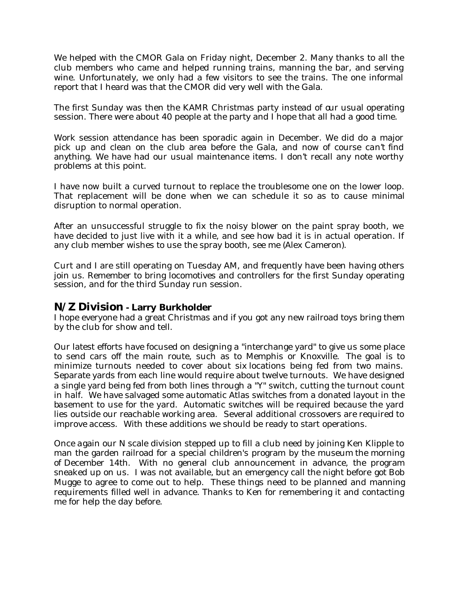We helped with the CMOR Gala on Friday night, December 2. Many thanks to all the club members who came and helped running trains, manning the bar, and serving wine. Unfortunately, we only had a few visitors to see the trains. The one informal report that I heard was that the CMOR did very well with the Gala.

The first Sunday was then the KAMR Christmas party instead of our usual operating session. There were about 40 people at the party and I hope that all had a good time.

Work session attendance has been sporadic again in December. We did do a major pick up and clean on the club area before the Gala, and now of course can't find anything. We have had our usual maintenance items. I don't recall any note worthy problems at this point.

I have now built a curved turnout to replace the troublesome one on the lower loop. That replacement will be done when we can schedule it so as to cause minimal disruption to normal operation.

After an unsuccessful struggle to fix the noisy blower on the paint spray booth, we have decided to just live with it a while, and see how bad it is in actual operation. If any club member wishes to use the spray booth, see me (Alex Cameron).

Curt and I are still operating on Tuesday AM, and frequently have been having others join us. Remember to bring locomotives and controllers for the first Sunday operating session, and for the third Sunday run session.

# **N/Z Division - Larry Burkholder**

I hope everyone had a great Christmas and if you got any new railroad toys bring them by the club for show and tell.

Our latest efforts have focused on designing a "interchange yard" to give us some place to send cars off the main route, such as to Memphis or Knoxville. The goal is to minimize turnouts needed to cover about six locations being fed from two mains. Separate yards from each line would require about twelve turnouts. We have designed a single yard being fed from both lines through a "Y" switch, cutting the turnout count in half. We have salvaged some automatic Atlas switches from a donated layout in the basement to use for the yard. Automatic switches will be required because the yard lies outside our reachable working area. Several additional crossovers are required to improve access. With these additions we should be ready to start operations.

Once again our N scale division stepped up to fill a club need by joining Ken Klipple to man the garden railroad for a special children's program by the museum the morning of December 14th. With no general club announcement in advance, the program sneaked up on us. I was not available, but an emergency call the night before got Bob Mugge to agree to come out to help. These things need to be planned and manning requirements filled well in advance. Thanks to Ken for remembering it and contacting me for help the day before.